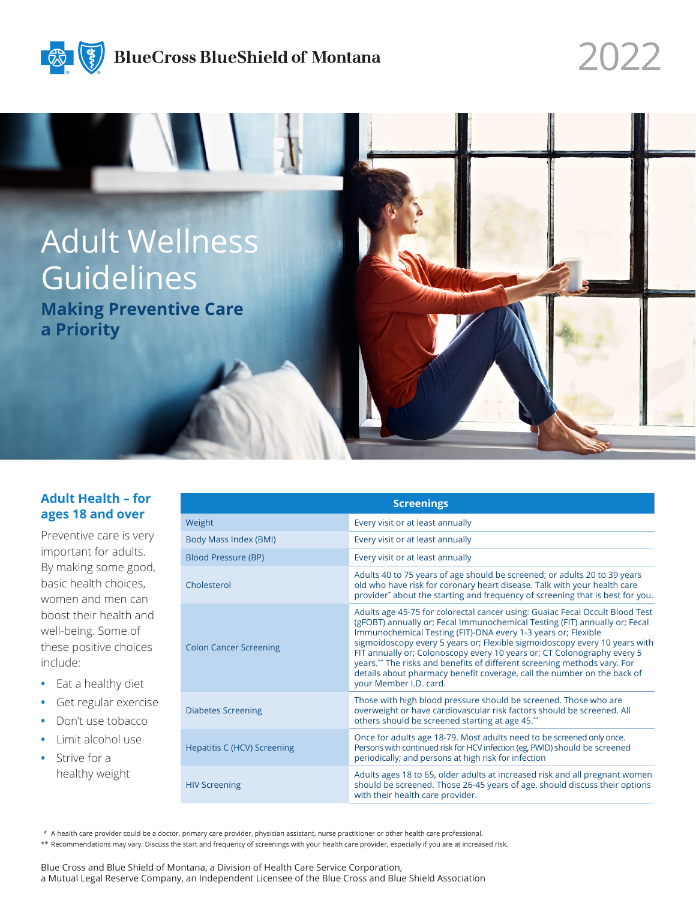

## **BlueCross BlueShield of Montana**

Adult Wellness Guidelines **Making Preventive Care a Priority**

2022

## **Adult Health – for ages 18 and over**

Preventive care is very important for adults. By making some good, basic health choices, women and men can boost their health and well-being. Some of these positive choices include:

- **•** Eat a healthy diet
- **•** Get regular exercise
- **•** Don't use tobacco
- **•** Limit alcohol use
- **•** Strive for a healthy weight

| <b>Screenings</b>                  |                                                                                                                                                                                                                                                                                                                                                                                                                                                                                                                                                                       |
|------------------------------------|-----------------------------------------------------------------------------------------------------------------------------------------------------------------------------------------------------------------------------------------------------------------------------------------------------------------------------------------------------------------------------------------------------------------------------------------------------------------------------------------------------------------------------------------------------------------------|
| Weight                             | Every visit or at least annually                                                                                                                                                                                                                                                                                                                                                                                                                                                                                                                                      |
| Body Mass Index (BMI)              | Every visit or at least annually                                                                                                                                                                                                                                                                                                                                                                                                                                                                                                                                      |
| <b>Blood Pressure (BP)</b>         | Every visit or at least annually                                                                                                                                                                                                                                                                                                                                                                                                                                                                                                                                      |
| Cholesterol                        | Adults 40 to 75 years of age should be screened; or adults 20 to 39 years<br>old who have risk for coronary heart disease. Talk with your health care<br>provider* about the starting and frequency of screening that is best for you.                                                                                                                                                                                                                                                                                                                                |
| <b>Colon Cancer Screening</b>      | Adults age 45-75 for colorectal cancer using: Guaiac Fecal Occult Blood Test<br>(gFOBT) annually or; Fecal Immunochemical Testing (FIT) annually or; Fecal<br>Immunochemical Testing (FIT)-DNA every 1-3 years or; Flexible<br>sigmoidoscopy every 5 years or; Flexible sigmoidoscopy every 10 years with<br>FIT annually or; Colonoscopy every 10 years or; CT Colonography every 5<br>years.** The risks and benefits of different screening methods vary. For<br>details about pharmacy benefit coverage, call the number on the back of<br>your Member I.D. card. |
| <b>Diabetes Screening</b>          | Those with high blood pressure should be screened. Those who are<br>overweight or have cardiovascular risk factors should be screened. All<br>others should be screened starting at age 45.**                                                                                                                                                                                                                                                                                                                                                                         |
| <b>Hepatitis C (HCV) Screening</b> | Once for adults age 18-79. Most adults need to be screened only once.<br>Persons with continued risk for HCV infection (eg, PWID) should be screened<br>periodically; and persons at high risk for infection                                                                                                                                                                                                                                                                                                                                                          |
| <b>HIV Screening</b>               | Adults ages 18 to 65, older adults at increased risk and all pregnant women<br>should be screened. Those 26-45 years of age, should discuss their options<br>with their health care provider.                                                                                                                                                                                                                                                                                                                                                                         |

\* A health care provider could be a doctor, primary care provider, physician assistant, nurse practitioner or other health care professional.

\*\* Recommendations may vary. Discuss the start and frequency of screenings with your health care provider, especially if you are at increased risk.

Blue Cross and Blue Shield of Montana, a Division of Health Care Service Corporation, a Mutual Legal Reserve Company, an Independent Licensee of the Blue Cross and Blue Shield Association